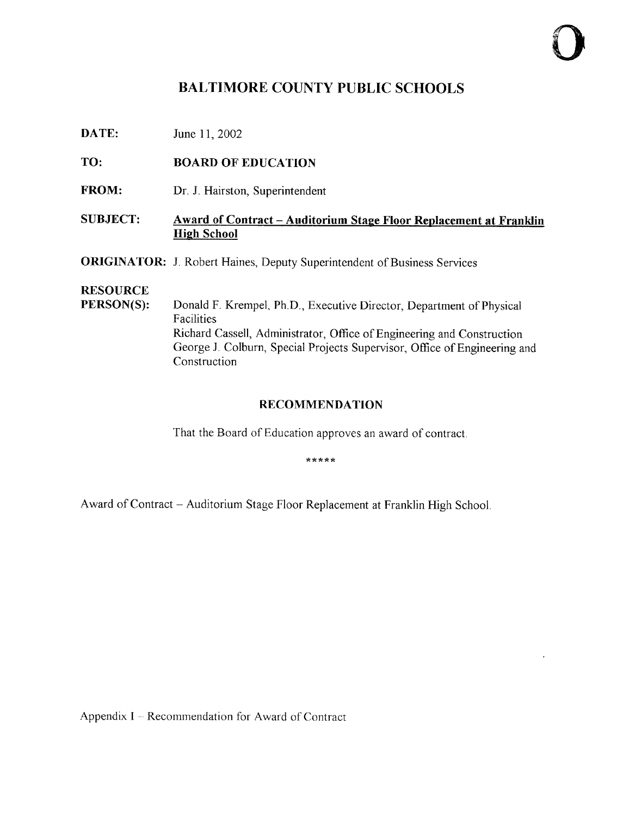# BALTIMORE COUNTY PUBLIC SCHOOLS

**DATE:** June 11, 2002

TO: BOARD OF EDUCATION

FROM: Dr. J. Hairston, Superintendent

#### SUBJECT: Award of Contract - Auditorium Stage Floor Replacement at Franklin **High School**

**ORIGINATOR:** J. Robert Haines, Deputy Superintendent of Business Services

# **RESOURCE**<br>PERSON(S):

Donald F. Krempel, Ph.D., Executive Director, Department of Physical Facilities Richard Cassell, Administrator, Office of Engineering and Construction George J. Colburn, Special Projects Supervisor, Office of Engineering and Construction

#### RECOMMENDATION

That the Board of Education approves an award of contract.

\*\*\*\*\*

Award of Contract - Auditorium Stage Floor Replacement at Franklin High School.

Appendix  $I - Recommendation$  for Award of Contract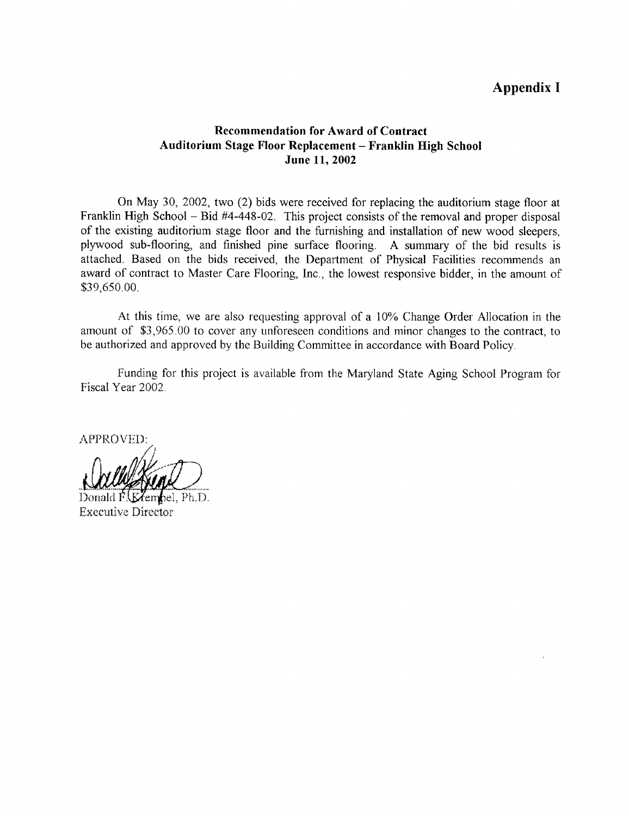## Appendix <sup>I</sup>

#### Recommendation for Award of Contract Auditorium Stage Floor Replacement - Franklin High School June 11, 2002

On May 30, 2002, two (2) bids were received for replacing the auditorium stage floor at Franklin High School – Bid #4-448-02. This project consists of the removal and proper disposal of the existing auditorium stage floor and the furnishing and installation of new wood sleepers, plywood sub-flooring, and finished pine surface flooring. A summary of the bid results is attached. Based on the bids received, the Department of Physical Facilities recommends an award of contract to Master Care Flooring, Inc., the lowest responsive bidder, in the amount of \$39,650 .00 .

At this time, we are also requesting approval of a 10% Change Order Allocation in the amount of \$3,965 .00 to cover any unforeseen conditions and minor changes to the contract, to be authorized and approved by the Building Committee in accordance with Board Policy .

Funding for this project is available from the Maryland State Aging School Program for Fiscal Year 2002.

APPROVED:

Donald  $\vec{F}$  (Keenbel, Ph.D. Executive Director